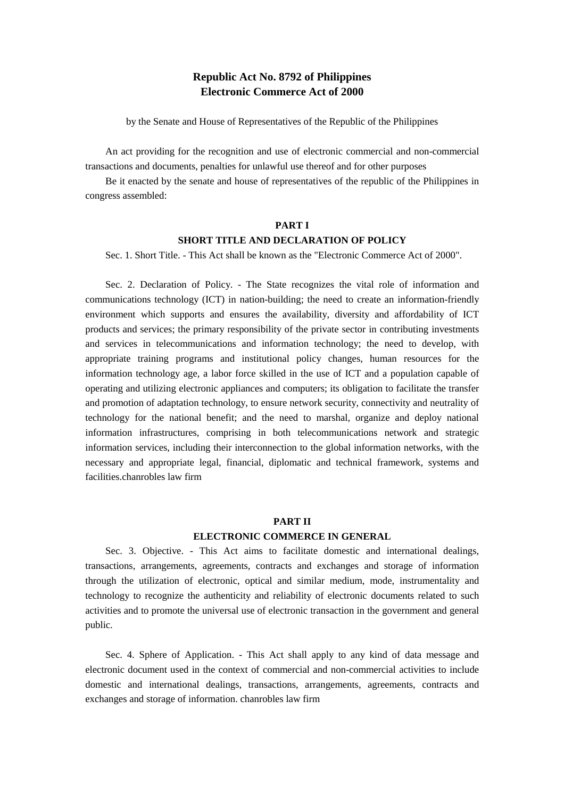## **Republic Act No. 8792 of Philippines Electronic Commerce Act of 2000**

by the Senate and House of Representatives of the Republic of the Philippines

An act providing for the recognition and use of electronic commercial and non-commercial transactions and documents, penalties for unlawful use thereof and for other purposes

Be it enacted by the senate and house of representatives of the republic of the Philippines in congress assembled:

### **PART I**

### **SHORT TITLE AND DECLARATION OF POLICY**

Sec. 1. Short Title. - This Act shall be known as the "Electronic Commerce Act of 2000".

Sec. 2. Declaration of Policy. - The State recognizes the vital role of information and communications technology (ICT) in nation-building; the need to create an information-friendly environment which supports and ensures the availability, diversity and affordability of ICT products and services; the primary responsibility of the private sector in contributing investments and services in telecommunications and information technology; the need to develop, with appropriate training programs and institutional policy changes, human resources for the information technology age, a labor force skilled in the use of ICT and a population capable of operating and utilizing electronic appliances and computers; its obligation to facilitate the transfer and promotion of adaptation technology, to ensure network security, connectivity and neutrality of technology for the national benefit; and the need to marshal, organize and deploy national information infrastructures, comprising in both telecommunications network and strategic information services, including their interconnection to the global information networks, with the necessary and appropriate legal, financial, diplomatic and technical framework, systems and facilities.chanrobles law firm

### **PART II ELECTRONIC COMMERCE IN GENERAL**

Sec. 3. Objective. - This Act aims to facilitate domestic and international dealings, transactions, arrangements, agreements, contracts and exchanges and storage of information through the utilization of electronic, optical and similar medium, mode, instrumentality and technology to recognize the authenticity and reliability of electronic documents related to such activities and to promote the universal use of electronic transaction in the government and general public.

Sec. 4. Sphere of Application. - This Act shall apply to any kind of data message and electronic document used in the context of commercial and non-commercial activities to include domestic and international dealings, transactions, arrangements, agreements, contracts and exchanges and storage of information. chanrobles law firm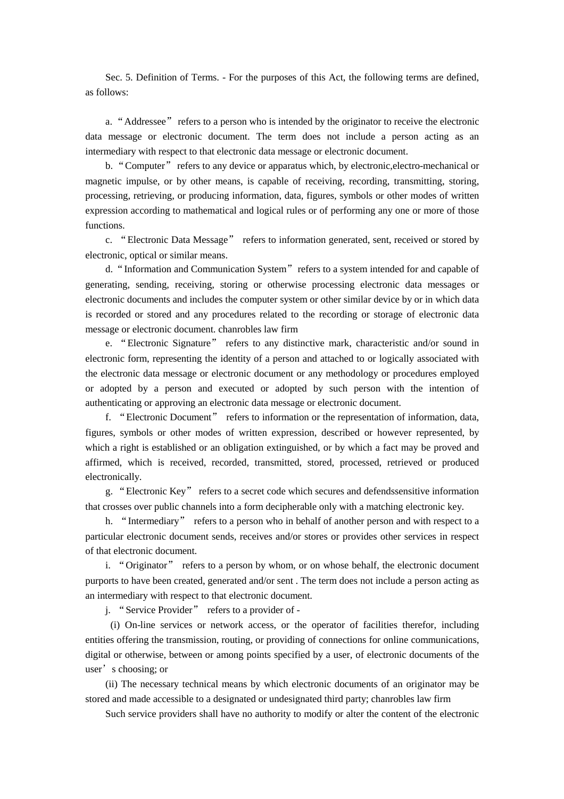Sec. 5. Definition of Terms. - For the purposes of this Act, the following terms are defined, as follows:

a. "Addressee" refers to a person who is intended by the originator to receive the electronic data message or electronic document. The term does not include a person acting as an intermediary with respect to that electronic data message or electronic document.

b. "Computer" refers to any device or apparatus which, by electronic,electro-mechanical or magnetic impulse, or by other means, is capable of receiving, recording, transmitting, storing, processing, retrieving, or producing information, data, figures, symbols or other modes of written expression according to mathematical and logical rules or of performing any one or more of those functions.

c. "Electronic Data Message" refers to information generated, sent, received or stored by electronic, optical or similar means.

d. "Information and Communication System" refers to a system intended for and capable of generating, sending, receiving, storing or otherwise processing electronic data messages or electronic documents and includes the computer system or other similar device by or in which data is recorded or stored and any procedures related to the recording or storage of electronic data message or electronic document. chanrobles law firm

e. "Electronic Signature" refers to any distinctive mark, characteristic and/or sound in electronic form, representing the identity of a person and attached to or logically associated with the electronic data message or electronic document or any methodology or procedures employed or adopted by a person and executed or adopted by such person with the intention of authenticating or approving an electronic data message or electronic document.

f. "Electronic Document" refers to information or the representation of information, data, figures, symbols or other modes of written expression, described or however represented, by which a right is established or an obligation extinguished, or by which a fact may be proved and affirmed, which is received, recorded, transmitted, stored, processed, retrieved or produced electronically.

g. "Electronic Key" refers to a secret code which secures and defendssensitive information that crosses over public channels into a form decipherable only with a matching electronic key.

h. "Intermediary" refers to a person who in behalf of another person and with respect to a particular electronic document sends, receives and/or stores or provides other services in respect of that electronic document.

i. "Originator" refers to a person by whom, or on whose behalf, the electronic document purports to have been created, generated and/or sent . The term does not include a person acting as an intermediary with respect to that electronic document.

j. "Service Provider" refers to a provider of -

 (i) On-line services or network access, or the operator of facilities therefor, including entities offering the transmission, routing, or providing of connections for online communications, digital or otherwise, between or among points specified by a user, of electronic documents of the user's choosing; or

(ii) The necessary technical means by which electronic documents of an originator may be stored and made accessible to a designated or undesignated third party; chanrobles law firm

Such service providers shall have no authority to modify or alter the content of the electronic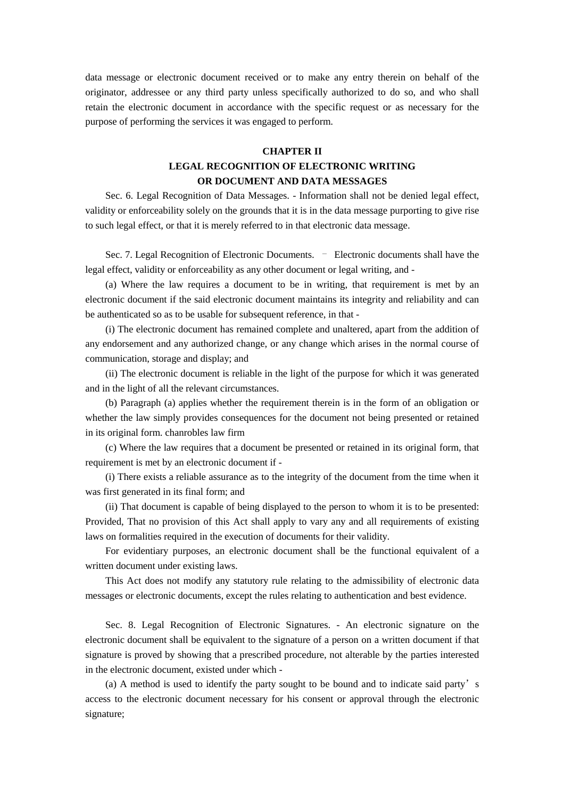data message or electronic document received or to make any entry therein on behalf of the originator, addressee or any third party unless specifically authorized to do so, and who shall retain the electronic document in accordance with the specific request or as necessary for the purpose of performing the services it was engaged to perform.

### **CHAPTER II**

## **LEGAL RECOGNITION OF ELECTRONIC WRITING OR DOCUMENT AND DATA MESSAGES**

Sec. 6. Legal Recognition of Data Messages. - Information shall not be denied legal effect, validity or enforceability solely on the grounds that it is in the data message purporting to give rise to such legal effect, or that it is merely referred to in that electronic data message.

Sec. 7. Legal Recognition of Electronic Documents. – Electronic documents shall have the legal effect, validity or enforceability as any other document or legal writing, and -

(a) Where the law requires a document to be in writing, that requirement is met by an electronic document if the said electronic document maintains its integrity and reliability and can be authenticated so as to be usable for subsequent reference, in that -

(i) The electronic document has remained complete and unaltered, apart from the addition of any endorsement and any authorized change, or any change which arises in the normal course of communication, storage and display; and

(ii) The electronic document is reliable in the light of the purpose for which it was generated and in the light of all the relevant circumstances.

(b) Paragraph (a) applies whether the requirement therein is in the form of an obligation or whether the law simply provides consequences for the document not being presented or retained in its original form. chanrobles law firm

(c) Where the law requires that a document be presented or retained in its original form, that requirement is met by an electronic document if -

(i) There exists a reliable assurance as to the integrity of the document from the time when it was first generated in its final form; and

(ii) That document is capable of being displayed to the person to whom it is to be presented: Provided, That no provision of this Act shall apply to vary any and all requirements of existing laws on formalities required in the execution of documents for their validity.

For evidentiary purposes, an electronic document shall be the functional equivalent of a written document under existing laws.

This Act does not modify any statutory rule relating to the admissibility of electronic data messages or electronic documents, except the rules relating to authentication and best evidence.

Sec. 8. Legal Recognition of Electronic Signatures. - An electronic signature on the electronic document shall be equivalent to the signature of a person on a written document if that signature is proved by showing that a prescribed procedure, not alterable by the parties interested in the electronic document, existed under which -

(a) A method is used to identify the party sought to be bound and to indicate said party's access to the electronic document necessary for his consent or approval through the electronic signature;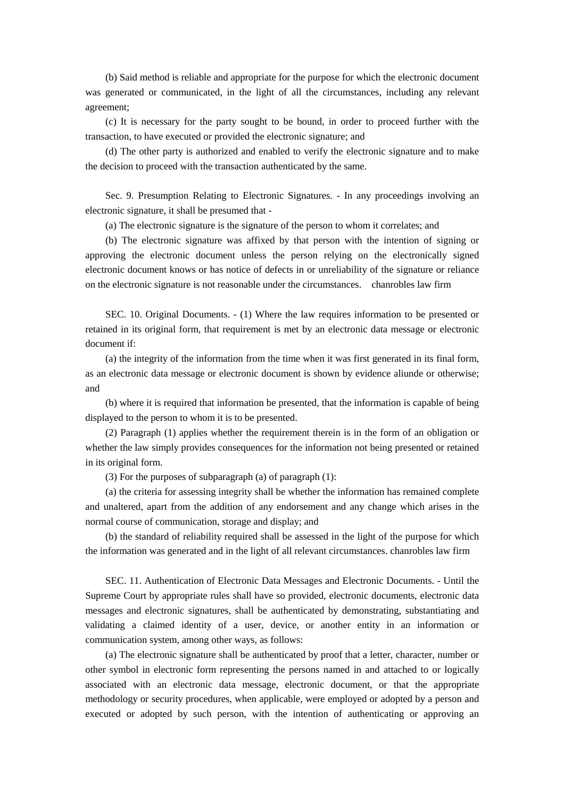(b) Said method is reliable and appropriate for the purpose for which the electronic document was generated or communicated, in the light of all the circumstances, including any relevant agreement;

(c) It is necessary for the party sought to be bound, in order to proceed further with the transaction, to have executed or provided the electronic signature; and

(d) The other party is authorized and enabled to verify the electronic signature and to make the decision to proceed with the transaction authenticated by the same.

Sec. 9. Presumption Relating to Electronic Signatures. - In any proceedings involving an electronic signature, it shall be presumed that -

(a) The electronic signature is the signature of the person to whom it correlates; and

(b) The electronic signature was affixed by that person with the intention of signing or approving the electronic document unless the person relying on the electronically signed electronic document knows or has notice of defects in or unreliability of the signature or reliance on the electronic signature is not reasonable under the circumstances. chanrobles law firm

SEC. 10. Original Documents. - (1) Where the law requires information to be presented or retained in its original form, that requirement is met by an electronic data message or electronic document if:

(a) the integrity of the information from the time when it was first generated in its final form, as an electronic data message or electronic document is shown by evidence aliunde or otherwise; and

(b) where it is required that information be presented, that the information is capable of being displayed to the person to whom it is to be presented.

(2) Paragraph (1) applies whether the requirement therein is in the form of an obligation or whether the law simply provides consequences for the information not being presented or retained in its original form.

(3) For the purposes of subparagraph (a) of paragraph (1):

(a) the criteria for assessing integrity shall be whether the information has remained complete and unaltered, apart from the addition of any endorsement and any change which arises in the normal course of communication, storage and display; and

(b) the standard of reliability required shall be assessed in the light of the purpose for which the information was generated and in the light of all relevant circumstances. chanrobles law firm

SEC. 11. Authentication of Electronic Data Messages and Electronic Documents. - Until the Supreme Court by appropriate rules shall have so provided, electronic documents, electronic data messages and electronic signatures, shall be authenticated by demonstrating, substantiating and validating a claimed identity of a user, device, or another entity in an information or communication system, among other ways, as follows:

(a) The electronic signature shall be authenticated by proof that a letter, character, number or other symbol in electronic form representing the persons named in and attached to or logically associated with an electronic data message, electronic document, or that the appropriate methodology or security procedures, when applicable, were employed or adopted by a person and executed or adopted by such person, with the intention of authenticating or approving an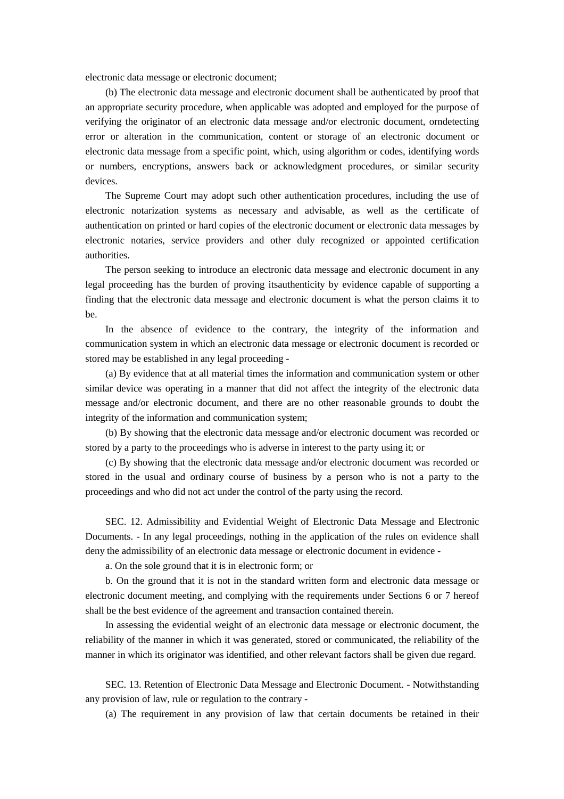electronic data message or electronic document;

(b) The electronic data message and electronic document shall be authenticated by proof that an appropriate security procedure, when applicable was adopted and employed for the purpose of verifying the originator of an electronic data message and/or electronic document, orndetecting error or alteration in the communication, content or storage of an electronic document or electronic data message from a specific point, which, using algorithm or codes, identifying words or numbers, encryptions, answers back or acknowledgment procedures, or similar security devices.

The Supreme Court may adopt such other authentication procedures, including the use of electronic notarization systems as necessary and advisable, as well as the certificate of authentication on printed or hard copies of the electronic document or electronic data messages by electronic notaries, service providers and other duly recognized or appointed certification authorities.

The person seeking to introduce an electronic data message and electronic document in any legal proceeding has the burden of proving itsauthenticity by evidence capable of supporting a finding that the electronic data message and electronic document is what the person claims it to be.

In the absence of evidence to the contrary, the integrity of the information and communication system in which an electronic data message or electronic document is recorded or stored may be established in any legal proceeding -

(a) By evidence that at all material times the information and communication system or other similar device was operating in a manner that did not affect the integrity of the electronic data message and/or electronic document, and there are no other reasonable grounds to doubt the integrity of the information and communication system;

(b) By showing that the electronic data message and/or electronic document was recorded or stored by a party to the proceedings who is adverse in interest to the party using it; or

(c) By showing that the electronic data message and/or electronic document was recorded or stored in the usual and ordinary course of business by a person who is not a party to the proceedings and who did not act under the control of the party using the record.

SEC. 12. Admissibility and Evidential Weight of Electronic Data Message and Electronic Documents. - In any legal proceedings, nothing in the application of the rules on evidence shall deny the admissibility of an electronic data message or electronic document in evidence -

a. On the sole ground that it is in electronic form; or

b. On the ground that it is not in the standard written form and electronic data message or electronic document meeting, and complying with the requirements under Sections 6 or 7 hereof shall be the best evidence of the agreement and transaction contained therein.

In assessing the evidential weight of an electronic data message or electronic document, the reliability of the manner in which it was generated, stored or communicated, the reliability of the manner in which its originator was identified, and other relevant factors shall be given due regard.

SEC. 13. Retention of Electronic Data Message and Electronic Document. - Notwithstanding any provision of law, rule or regulation to the contrary -

(a) The requirement in any provision of law that certain documents be retained in their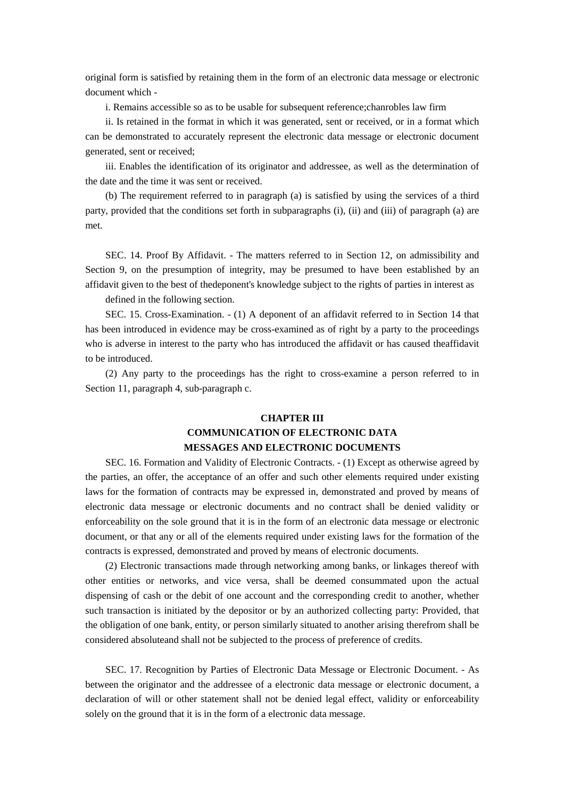original form is satisfied by retaining them in the form of an electronic data message or electronic document which -

i. Remains accessible so as to be usable for subsequent reference;chanrobles law firm

ii. Is retained in the format in which it was generated, sent or received, or in a format which can be demonstrated to accurately represent the electronic data message or electronic document generated, sent or received;

iii. Enables the identification of its originator and addressee, as well as the determination of the date and the time it was sent or received.

(b) The requirement referred to in paragraph (a) is satisfied by using the services of a third party, provided that the conditions set forth in subparagraphs (i), (ii) and (iii) of paragraph (a) are met.

SEC. 14. Proof By Affidavit. - The matters referred to in Section 12, on admissibility and Section 9, on the presumption of integrity, may be presumed to have been established by an affidavit given to the best of thedeponent's knowledge subject to the rights of parties in interest as

defined in the following section.

SEC. 15. Cross-Examination. - (1) A deponent of an affidavit referred to in Section 14 that has been introduced in evidence may be cross-examined as of right by a party to the proceedings who is adverse in interest to the party who has introduced the affidavit or has caused theaffidavit to be introduced.

(2) Any party to the proceedings has the right to cross-examine a person referred to in Section 11, paragraph 4, sub-paragraph c.

# **CHAPTER III COMMUNICATION OF ELECTRONIC DATA MESSAGES AND ELECTRONIC DOCUMENTS**

SEC. 16. Formation and Validity of Electronic Contracts. - (1) Except as otherwise agreed by the parties, an offer, the acceptance of an offer and such other elements required under existing laws for the formation of contracts may be expressed in, demonstrated and proved by means of electronic data message or electronic documents and no contract shall be denied validity or enforceability on the sole ground that it is in the form of an electronic data message or electronic document, or that any or all of the elements required under existing laws for the formation of the contracts is expressed, demonstrated and proved by means of electronic documents.

(2) Electronic transactions made through networking among banks, or linkages thereof with other entities or networks, and vice versa, shall be deemed consummated upon the actual dispensing of cash or the debit of one account and the corresponding credit to another, whether such transaction is initiated by the depositor or by an authorized collecting party: Provided, that the obligation of one bank, entity, or person similarly situated to another arising therefrom shall be considered absoluteand shall not be subjected to the process of preference of credits.

SEC. 17. Recognition by Parties of Electronic Data Message or Electronic Document. - As between the originator and the addressee of a electronic data message or electronic document, a declaration of will or other statement shall not be denied legal effect, validity or enforceability solely on the ground that it is in the form of a electronic data message.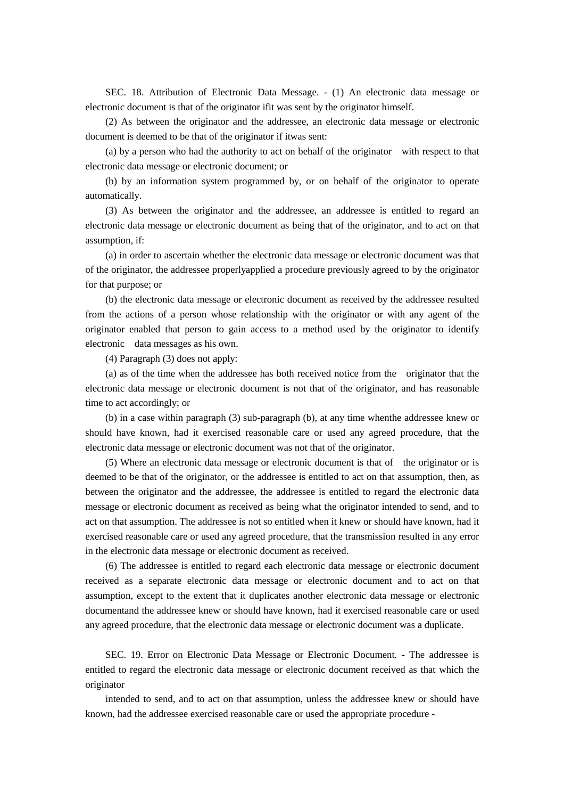SEC. 18. Attribution of Electronic Data Message. - (1) An electronic data message or electronic document is that of the originator ifit was sent by the originator himself.

(2) As between the originator and the addressee, an electronic data message or electronic document is deemed to be that of the originator if itwas sent:

(a) by a person who had the authority to act on behalf of the originator with respect to that electronic data message or electronic document; or

(b) by an information system programmed by, or on behalf of the originator to operate automatically.

(3) As between the originator and the addressee, an addressee is entitled to regard an electronic data message or electronic document as being that of the originator, and to act on that assumption, if:

(a) in order to ascertain whether the electronic data message or electronic document was that of the originator, the addressee properlyapplied a procedure previously agreed to by the originator for that purpose; or

(b) the electronic data message or electronic document as received by the addressee resulted from the actions of a person whose relationship with the originator or with any agent of the originator enabled that person to gain access to a method used by the originator to identify electronic data messages as his own.

(4) Paragraph (3) does not apply:

(a) as of the time when the addressee has both received notice from the originator that the electronic data message or electronic document is not that of the originator, and has reasonable time to act accordingly; or

(b) in a case within paragraph (3) sub-paragraph (b), at any time whenthe addressee knew or should have known, had it exercised reasonable care or used any agreed procedure, that the electronic data message or electronic document was not that of the originator.

(5) Where an electronic data message or electronic document is that of the originator or is deemed to be that of the originator, or the addressee is entitled to act on that assumption, then, as between the originator and the addressee, the addressee is entitled to regard the electronic data message or electronic document as received as being what the originator intended to send, and to act on that assumption. The addressee is not so entitled when it knew or should have known, had it exercised reasonable care or used any agreed procedure, that the transmission resulted in any error in the electronic data message or electronic document as received.

(6) The addressee is entitled to regard each electronic data message or electronic document received as a separate electronic data message or electronic document and to act on that assumption, except to the extent that it duplicates another electronic data message or electronic documentand the addressee knew or should have known, had it exercised reasonable care or used any agreed procedure, that the electronic data message or electronic document was a duplicate.

SEC. 19. Error on Electronic Data Message or Electronic Document. - The addressee is entitled to regard the electronic data message or electronic document received as that which the originator

intended to send, and to act on that assumption, unless the addressee knew or should have known, had the addressee exercised reasonable care or used the appropriate procedure -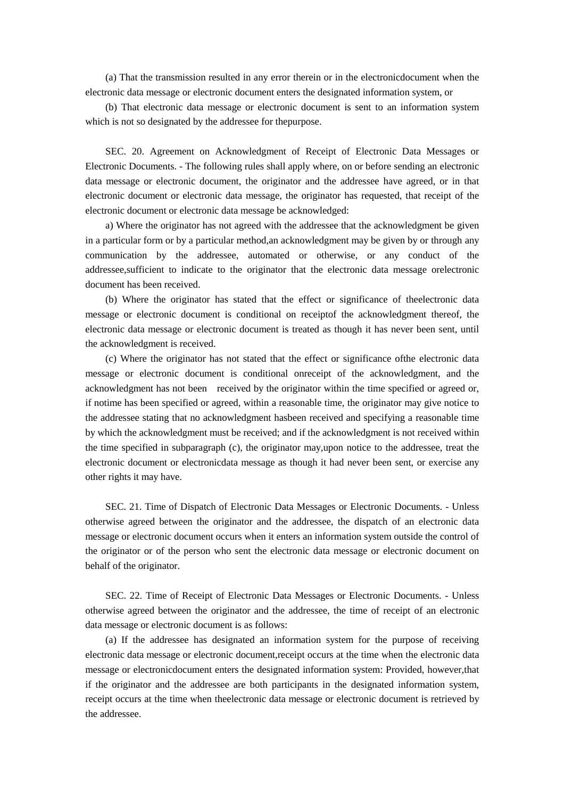(a) That the transmission resulted in any error therein or in the electronicdocument when the electronic data message or electronic document enters the designated information system, or

(b) That electronic data message or electronic document is sent to an information system which is not so designated by the addressee for thepurpose.

SEC. 20. Agreement on Acknowledgment of Receipt of Electronic Data Messages or Electronic Documents. - The following rules shall apply where, on or before sending an electronic data message or electronic document, the originator and the addressee have agreed, or in that electronic document or electronic data message, the originator has requested, that receipt of the electronic document or electronic data message be acknowledged:

a) Where the originator has not agreed with the addressee that the acknowledgment be given in a particular form or by a particular method,an acknowledgment may be given by or through any communication by the addressee, automated or otherwise, or any conduct of the addressee,sufficient to indicate to the originator that the electronic data message orelectronic document has been received.

(b) Where the originator has stated that the effect or significance of theelectronic data message or electronic document is conditional on receiptof the acknowledgment thereof, the electronic data message or electronic document is treated as though it has never been sent, until the acknowledgment is received.

(c) Where the originator has not stated that the effect or significance ofthe electronic data message or electronic document is conditional onreceipt of the acknowledgment, and the acknowledgment has not been received by the originator within the time specified or agreed or, if notime has been specified or agreed, within a reasonable time, the originator may give notice to the addressee stating that no acknowledgment hasbeen received and specifying a reasonable time by which the acknowledgment must be received; and if the acknowledgment is not received within the time specified in subparagraph (c), the originator may,upon notice to the addressee, treat the electronic document or electronicdata message as though it had never been sent, or exercise any other rights it may have.

SEC. 21. Time of Dispatch of Electronic Data Messages or Electronic Documents. - Unless otherwise agreed between the originator and the addressee, the dispatch of an electronic data message or electronic document occurs when it enters an information system outside the control of the originator or of the person who sent the electronic data message or electronic document on behalf of the originator.

SEC. 22. Time of Receipt of Electronic Data Messages or Electronic Documents. - Unless otherwise agreed between the originator and the addressee, the time of receipt of an electronic data message or electronic document is as follows:

(a) If the addressee has designated an information system for the purpose of receiving electronic data message or electronic document,receipt occurs at the time when the electronic data message or electronicdocument enters the designated information system: Provided, however,that if the originator and the addressee are both participants in the designated information system, receipt occurs at the time when theelectronic data message or electronic document is retrieved by the addressee.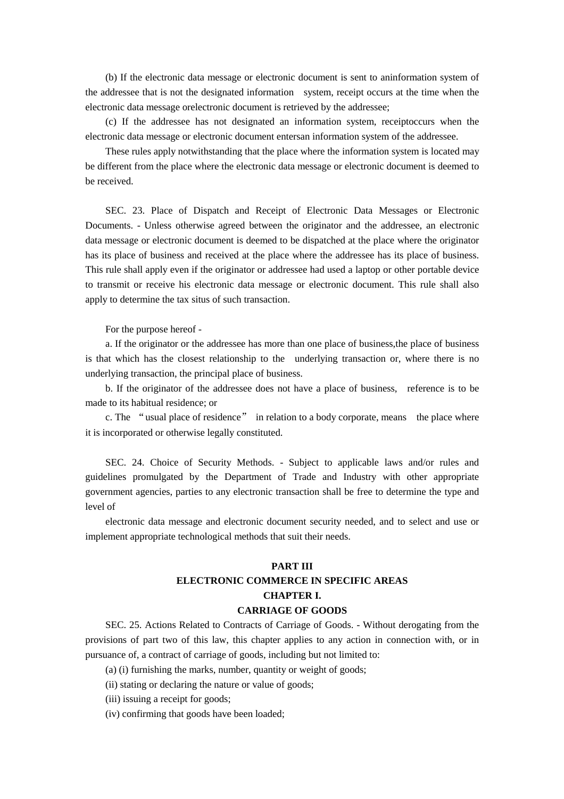(b) If the electronic data message or electronic document is sent to aninformation system of the addressee that is not the designated information system, receipt occurs at the time when the electronic data message orelectronic document is retrieved by the addressee;

(c) If the addressee has not designated an information system, receiptoccurs when the electronic data message or electronic document entersan information system of the addressee.

These rules apply notwithstanding that the place where the information system is located may be different from the place where the electronic data message or electronic document is deemed to be received.

SEC. 23. Place of Dispatch and Receipt of Electronic Data Messages or Electronic Documents. - Unless otherwise agreed between the originator and the addressee, an electronic data message or electronic document is deemed to be dispatched at the place where the originator has its place of business and received at the place where the addressee has its place of business. This rule shall apply even if the originator or addressee had used a laptop or other portable device to transmit or receive his electronic data message or electronic document. This rule shall also apply to determine the tax situs of such transaction.

For the purpose hereof -

a. If the originator or the addressee has more than one place of business,the place of business is that which has the closest relationship to the underlying transaction or, where there is no underlying transaction, the principal place of business.

b. If the originator of the addressee does not have a place of business, reference is to be made to its habitual residence; or

c. The "usual place of residence" in relation to a body corporate, means the place where it is incorporated or otherwise legally constituted.

SEC. 24. Choice of Security Methods. - Subject to applicable laws and/or rules and guidelines promulgated by the Department of Trade and Industry with other appropriate government agencies, parties to any electronic transaction shall be free to determine the type and level of

electronic data message and electronic document security needed, and to select and use or implement appropriate technological methods that suit their needs.

# **PART III ELECTRONIC COMMERCE IN SPECIFIC AREAS CHAPTER I.**

### **CARRIAGE OF GOODS**

SEC. 25. Actions Related to Contracts of Carriage of Goods. - Without derogating from the provisions of part two of this law, this chapter applies to any action in connection with, or in pursuance of, a contract of carriage of goods, including but not limited to:

(a) (i) furnishing the marks, number, quantity or weight of goods;

(ii) stating or declaring the nature or value of goods;

(iii) issuing a receipt for goods;

(iv) confirming that goods have been loaded;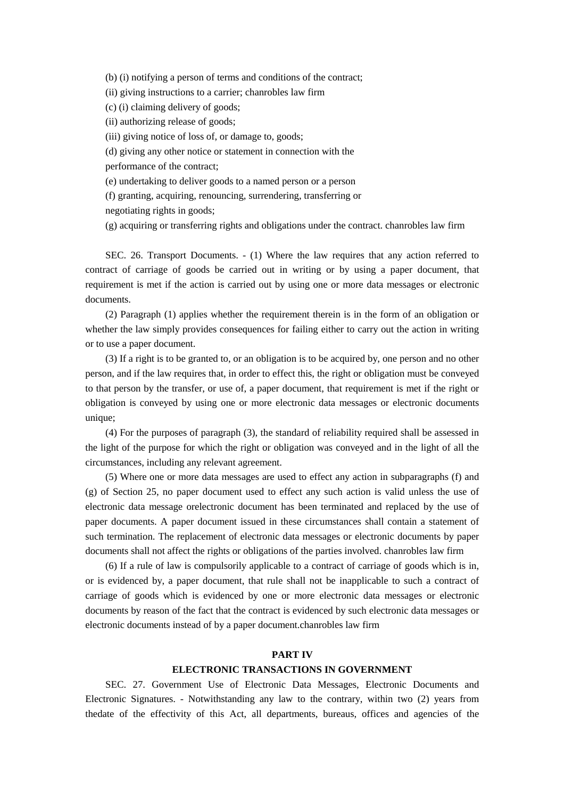(b) (i) notifying a person of terms and conditions of the contract;

(ii) giving instructions to a carrier; chanrobles law firm

(c) (i) claiming delivery of goods;

(ii) authorizing release of goods;

(iii) giving notice of loss of, or damage to, goods;

(d) giving any other notice or statement in connection with the

performance of the contract;

(e) undertaking to deliver goods to a named person or a person

(f) granting, acquiring, renouncing, surrendering, transferring or

negotiating rights in goods;

(g) acquiring or transferring rights and obligations under the contract. chanrobles law firm

SEC. 26. Transport Documents. - (1) Where the law requires that any action referred to contract of carriage of goods be carried out in writing or by using a paper document, that requirement is met if the action is carried out by using one or more data messages or electronic documents.

(2) Paragraph (1) applies whether the requirement therein is in the form of an obligation or whether the law simply provides consequences for failing either to carry out the action in writing or to use a paper document.

(3) If a right is to be granted to, or an obligation is to be acquired by, one person and no other person, and if the law requires that, in order to effect this, the right or obligation must be conveyed to that person by the transfer, or use of, a paper document, that requirement is met if the right or obligation is conveyed by using one or more electronic data messages or electronic documents unique;

(4) For the purposes of paragraph (3), the standard of reliability required shall be assessed in the light of the purpose for which the right or obligation was conveyed and in the light of all the circumstances, including any relevant agreement.

(5) Where one or more data messages are used to effect any action in subparagraphs (f) and (g) of Section 25, no paper document used to effect any such action is valid unless the use of electronic data message orelectronic document has been terminated and replaced by the use of paper documents. A paper document issued in these circumstances shall contain a statement of such termination. The replacement of electronic data messages or electronic documents by paper documents shall not affect the rights or obligations of the parties involved. chanrobles law firm

(6) If a rule of law is compulsorily applicable to a contract of carriage of goods which is in, or is evidenced by, a paper document, that rule shall not be inapplicable to such a contract of carriage of goods which is evidenced by one or more electronic data messages or electronic documents by reason of the fact that the contract is evidenced by such electronic data messages or electronic documents instead of by a paper document.chanrobles law firm

### **PART IV**

### **ELECTRONIC TRANSACTIONS IN GOVERNMENT**

SEC. 27. Government Use of Electronic Data Messages, Electronic Documents and Electronic Signatures. - Notwithstanding any law to the contrary, within two (2) years from thedate of the effectivity of this Act, all departments, bureaus, offices and agencies of the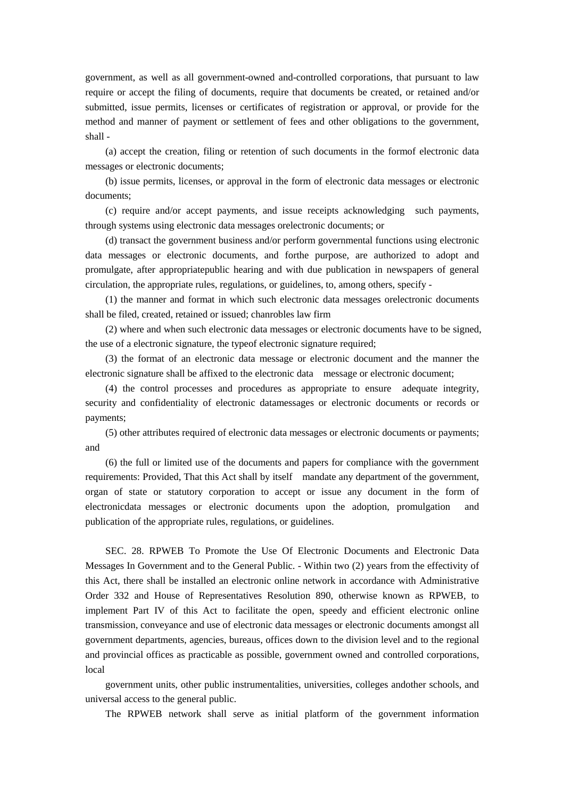government, as well as all government-owned and-controlled corporations, that pursuant to law require or accept the filing of documents, require that documents be created, or retained and/or submitted, issue permits, licenses or certificates of registration or approval, or provide for the method and manner of payment or settlement of fees and other obligations to the government, shall -

(a) accept the creation, filing or retention of such documents in the formof electronic data messages or electronic documents;

(b) issue permits, licenses, or approval in the form of electronic data messages or electronic documents;

(c) require and/or accept payments, and issue receipts acknowledging such payments, through systems using electronic data messages orelectronic documents; or

(d) transact the government business and/or perform governmental functions using electronic data messages or electronic documents, and forthe purpose, are authorized to adopt and promulgate, after appropriatepublic hearing and with due publication in newspapers of general circulation, the appropriate rules, regulations, or guidelines, to, among others, specify -

(1) the manner and format in which such electronic data messages orelectronic documents shall be filed, created, retained or issued; chanrobles law firm

(2) where and when such electronic data messages or electronic documents have to be signed, the use of a electronic signature, the typeof electronic signature required;

(3) the format of an electronic data message or electronic document and the manner the electronic signature shall be affixed to the electronic data message or electronic document;

(4) the control processes and procedures as appropriate to ensure adequate integrity, security and confidentiality of electronic datamessages or electronic documents or records or payments;

(5) other attributes required of electronic data messages or electronic documents or payments; and

(6) the full or limited use of the documents and papers for compliance with the government requirements: Provided, That this Act shall by itself mandate any department of the government, organ of state or statutory corporation to accept or issue any document in the form of electronicdata messages or electronic documents upon the adoption, promulgation and publication of the appropriate rules, regulations, or guidelines.

SEC. 28. RPWEB To Promote the Use Of Electronic Documents and Electronic Data Messages In Government and to the General Public. - Within two (2) years from the effectivity of this Act, there shall be installed an electronic online network in accordance with Administrative Order 332 and House of Representatives Resolution 890, otherwise known as RPWEB, to implement Part IV of this Act to facilitate the open, speedy and efficient electronic online transmission, conveyance and use of electronic data messages or electronic documents amongst all government departments, agencies, bureaus, offices down to the division level and to the regional and provincial offices as practicable as possible, government owned and controlled corporations, local

government units, other public instrumentalities, universities, colleges andother schools, and universal access to the general public.

The RPWEB network shall serve as initial platform of the government information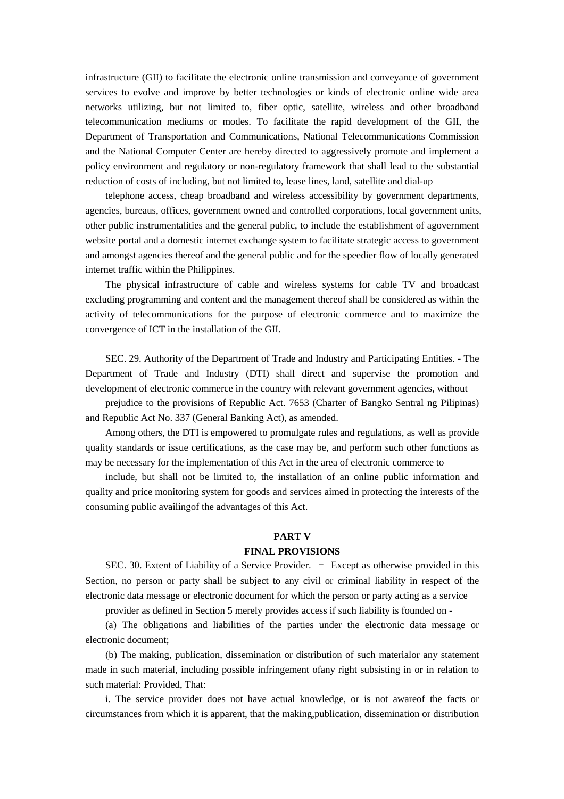infrastructure (GII) to facilitate the electronic online transmission and conveyance of government services to evolve and improve by better technologies or kinds of electronic online wide area networks utilizing, but not limited to, fiber optic, satellite, wireless and other broadband telecommunication mediums or modes. To facilitate the rapid development of the GII, the Department of Transportation and Communications, National Telecommunications Commission and the National Computer Center are hereby directed to aggressively promote and implement a policy environment and regulatory or non-regulatory framework that shall lead to the substantial reduction of costs of including, but not limited to, lease lines, land, satellite and dial-up

telephone access, cheap broadband and wireless accessibility by government departments, agencies, bureaus, offices, government owned and controlled corporations, local government units, other public instrumentalities and the general public, to include the establishment of agovernment website portal and a domestic internet exchange system to facilitate strategic access to government and amongst agencies thereof and the general public and for the speedier flow of locally generated internet traffic within the Philippines.

The physical infrastructure of cable and wireless systems for cable TV and broadcast excluding programming and content and the management thereof shall be considered as within the activity of telecommunications for the purpose of electronic commerce and to maximize the convergence of ICT in the installation of the GII.

SEC. 29. Authority of the Department of Trade and Industry and Participating Entities. - The Department of Trade and Industry (DTI) shall direct and supervise the promotion and development of electronic commerce in the country with relevant government agencies, without

prejudice to the provisions of Republic Act. 7653 (Charter of Bangko Sentral ng Pilipinas) and Republic Act No. 337 (General Banking Act), as amended.

Among others, the DTI is empowered to promulgate rules and regulations, as well as provide quality standards or issue certifications, as the case may be, and perform such other functions as may be necessary for the implementation of this Act in the area of electronic commerce to

include, but shall not be limited to, the installation of an online public information and quality and price monitoring system for goods and services aimed in protecting the interests of the consuming public availingof the advantages of this Act.

### **PART V**

#### **FINAL PROVISIONS**

SEC. 30. Extent of Liability of a Service Provider. – Except as otherwise provided in this Section, no person or party shall be subject to any civil or criminal liability in respect of the electronic data message or electronic document for which the person or party acting as a service

provider as defined in Section 5 merely provides access if such liability is founded on -

(a) The obligations and liabilities of the parties under the electronic data message or electronic document;

(b) The making, publication, dissemination or distribution of such materialor any statement made in such material, including possible infringement ofany right subsisting in or in relation to such material: Provided, That:

i. The service provider does not have actual knowledge, or is not awareof the facts or circumstances from which it is apparent, that the making,publication, dissemination or distribution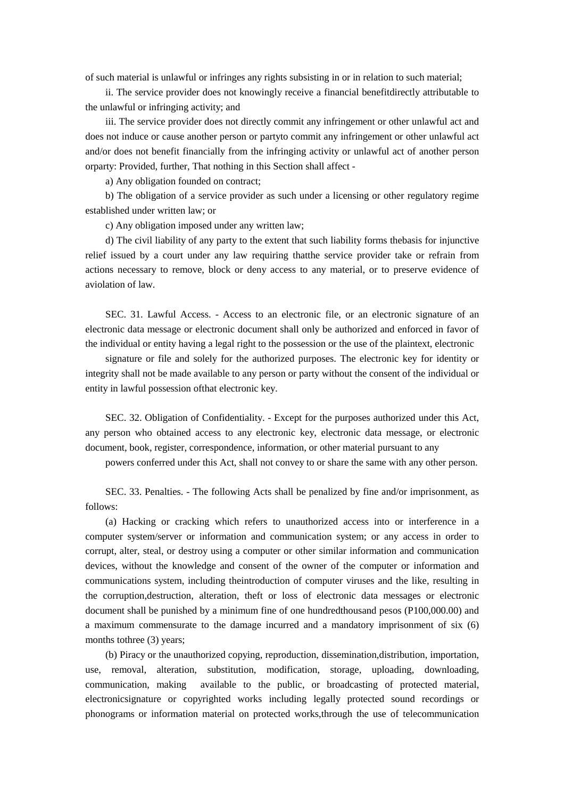of such material is unlawful or infringes any rights subsisting in or in relation to such material;

ii. The service provider does not knowingly receive a financial benefitdirectly attributable to the unlawful or infringing activity; and

iii. The service provider does not directly commit any infringement or other unlawful act and does not induce or cause another person or partyto commit any infringement or other unlawful act and/or does not benefit financially from the infringing activity or unlawful act of another person orparty: Provided, further, That nothing in this Section shall affect -

a) Any obligation founded on contract;

b) The obligation of a service provider as such under a licensing or other regulatory regime established under written law; or

c) Any obligation imposed under any written law;

d) The civil liability of any party to the extent that such liability forms thebasis for injunctive relief issued by a court under any law requiring thatthe service provider take or refrain from actions necessary to remove, block or deny access to any material, or to preserve evidence of aviolation of law.

SEC. 31. Lawful Access. - Access to an electronic file, or an electronic signature of an electronic data message or electronic document shall only be authorized and enforced in favor of the individual or entity having a legal right to the possession or the use of the plaintext, electronic

signature or file and solely for the authorized purposes. The electronic key for identity or integrity shall not be made available to any person or party without the consent of the individual or entity in lawful possession ofthat electronic key.

SEC. 32. Obligation of Confidentiality. - Except for the purposes authorized under this Act, any person who obtained access to any electronic key, electronic data message, or electronic document, book, register, correspondence, information, or other material pursuant to any

powers conferred under this Act, shall not convey to or share the same with any other person.

SEC. 33. Penalties. - The following Acts shall be penalized by fine and/or imprisonment, as follows:

(a) Hacking or cracking which refers to unauthorized access into or interference in a computer system/server or information and communication system; or any access in order to corrupt, alter, steal, or destroy using a computer or other similar information and communication devices, without the knowledge and consent of the owner of the computer or information and communications system, including theintroduction of computer viruses and the like, resulting in the corruption,destruction, alteration, theft or loss of electronic data messages or electronic document shall be punished by a minimum fine of one hundredthousand pesos (P100,000.00) and a maximum commensurate to the damage incurred and a mandatory imprisonment of six (6) months to three (3) years;

(b) Piracy or the unauthorized copying, reproduction, dissemination,distribution, importation, use, removal, alteration, substitution, modification, storage, uploading, downloading, communication, making available to the public, or broadcasting of protected material, electronicsignature or copyrighted works including legally protected sound recordings or phonograms or information material on protected works,through the use of telecommunication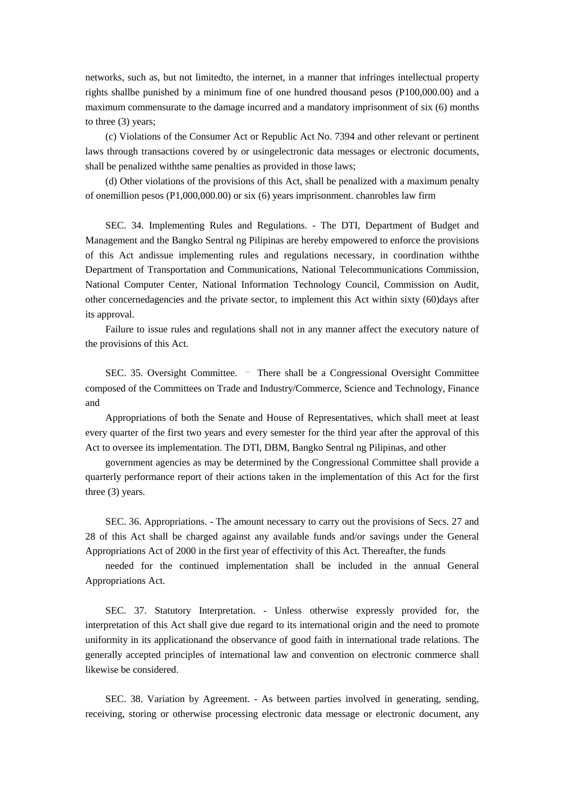networks, such as, but not limitedto, the internet, in a manner that infringes intellectual property rights shallbe punished by a minimum fine of one hundred thousand pesos (P100,000.00) and a maximum commensurate to the damage incurred and a mandatory imprisonment of six (6) months to three (3) years;

(c) Violations of the Consumer Act or Republic Act No. 7394 and other relevant or pertinent laws through transactions covered by or usingelectronic data messages or electronic documents, shall be penalized withthe same penalties as provided in those laws;

(d) Other violations of the provisions of this Act, shall be penalized with a maximum penalty of onemillion pesos (P1,000,000.00) or six (6) years imprisonment. chanrobles law firm

SEC. 34. Implementing Rules and Regulations. - The DTI, Department of Budget and Management and the Bangko Sentral ng Pilipinas are hereby empowered to enforce the provisions of this Act andissue implementing rules and regulations necessary, in coordination withthe Department of Transportation and Communications, National Telecommunications Commission, National Computer Center, National Information Technology Council, Commission on Audit, other concernedagencies and the private sector, to implement this Act within sixty (60)days after its approval.

Failure to issue rules and regulations shall not in any manner affect the executory nature of the provisions of this Act.

SEC. 35. Oversight Committee. – There shall be a Congressional Oversight Committee composed of the Committees on Trade and Industry/Commerce, Science and Technology, Finance and

Appropriations of both the Senate and House of Representatives, which shall meet at least every quarter of the first two years and every semester for the third year after the approval of this Act to oversee its implementation. The DTI, DBM, Bangko Sentral ng Pilipinas, and other

government agencies as may be determined by the Congressional Committee shall provide a quarterly performance report of their actions taken in the implementation of this Act for the first three (3) years.

SEC. 36. Appropriations. - The amount necessary to carry out the provisions of Secs. 27 and 28 of this Act shall be charged against any available funds and/or savings under the General Appropriations Act of 2000 in the first year of effectivity of this Act. Thereafter, the funds

needed for the continued implementation shall be included in the annual General Appropriations Act.

SEC. 37. Statutory Interpretation. - Unless otherwise expressly provided for, the interpretation of this Act shall give due regard to its international origin and the need to promote uniformity in its applicationand the observance of good faith in international trade relations. The generally accepted principles of international law and convention on electronic commerce shall likewise be considered.

SEC. 38. Variation by Agreement. - As between parties involved in generating, sending, receiving, storing or otherwise processing electronic data message or electronic document, any